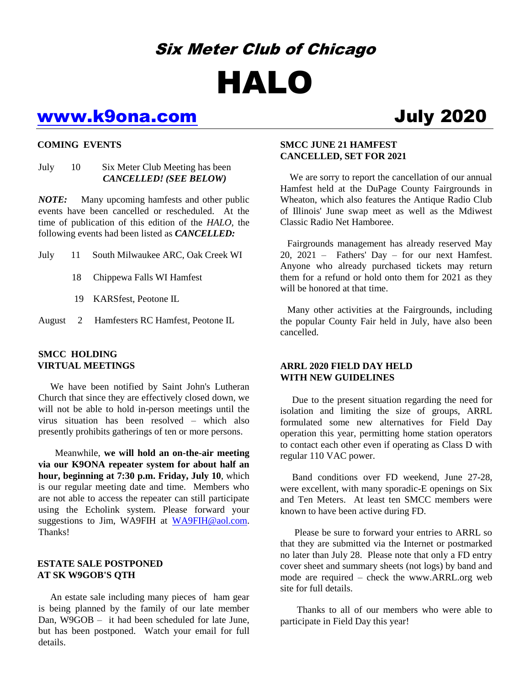# Six Meter Club of Chicago HALO

## www.k9ona.com July 2020

#### **COMING EVENTS**

#### July 10 Six Meter Club Meeting has been *CANCELLED! (SEE BELOW)*

*NOTE:* Many upcoming hamfests and other public events have been cancelled or rescheduled. At the time of publication of this edition of the *HALO*, the following events had been listed as *CANCELLED:*

July 11 South Milwaukee ARC, Oak Creek WI

- 18 Chippewa Falls WI Hamfest
- 19 KARSfest, Peotone IL
- August 2 Hamfesters RC Hamfest, Peotone IL

#### **SMCC HOLDING VIRTUAL MEETINGS**

 We have been notified by Saint John's Lutheran Church that since they are effectively closed down, we will not be able to hold in-person meetings until the virus situation has been resolved – which also presently prohibits gatherings of ten or more persons.

 Meanwhile, **we will hold an on-the-air meeting via our K9ONA repeater system for about half an hour, beginning at 7:30 p.m. Friday, July 10**, which is our regular meeting date and time. Members who are not able to access the repeater can still participate using the Echolink system. Please forward your suggestions to Jim, WA9FIH at [WA9FIH@aol.com.](mailto:WA9FIH@aol.com) Thanks!

#### **ESTATE SALE POSTPONED AT SK W9GOB'S QTH**

An estate sale including many pieces of ham gear is being planned by the family of our late member Dan, W9GOB – it had been scheduled for late June, but has been postponed. Watch your email for full details.

### **SMCC JUNE 21 HAMFEST CANCELLED, SET FOR 2021**

 We are sorry to report the cancellation of our annual Hamfest held at the DuPage County Fairgrounds in Wheaton, which also features the Antique Radio Club of Illinois' June swap meet as well as the Mdiwest Classic Radio Net Hamboree.

 Fairgrounds management has already reserved May 20, 2021 – Fathers' Day – for our next Hamfest. Anyone who already purchased tickets may return them for a refund or hold onto them for 2021 as they will be honored at that time.

 Many other activities at the Fairgrounds, including the popular County Fair held in July, have also been cancelled.

#### **ARRL 2020 FIELD DAY HELD WITH NEW GUIDELINES**

Due to the present situation regarding the need for isolation and limiting the size of groups, ARRL formulated some new alternatives for Field Day operation this year, permitting home station operators to contact each other even if operating as Class D with regular 110 VAC power.

 Band conditions over FD weekend, June 27-28, were excellent, with many sporadic-E openings on Six and Ten Meters. At least ten SMCC members were known to have been active during FD.

 Please be sure to forward your entries to ARRL so that they are submitted via the Internet or postmarked no later than July 28. Please note that only a FD entry cover sheet and summary sheets (not logs) by band and mode are required – check the www.ARRL.org web site for full details.

 Thanks to all of our members who were able to participate in Field Day this year!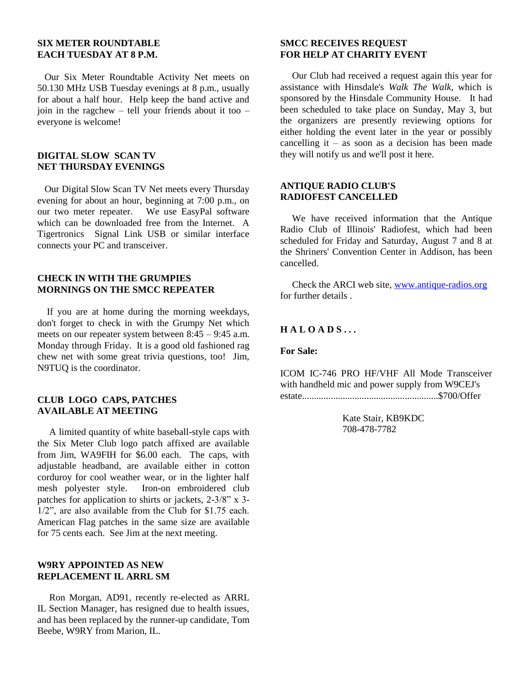#### **SIX METER ROUNDTABLE EACH TUESDAY AT 8 P.M.**

 Our Six Meter Roundtable Activity Net meets on 50.130 MHz USB Tuesday evenings at 8 p.m., usually for about a half hour. Help keep the band active and join in the ragchew – tell your friends about it too – everyone is welcome!

#### **DIGITAL SLOW SCAN TV NET THURSDAY EVENINGS**

 Our Digital Slow Scan TV Net meets every Thursday evening for about an hour, beginning at 7:00 p.m., on our two meter repeater. We use EasyPal software which can be downloaded free from the Internet. A Tigertronics Signal Link USB or similar interface connects your PC and transceiver.

#### **CHECK IN WITH THE GRUMPIES MORNINGS ON THE SMCC REPEATER**

If you are at home during the morning weekdays, don't forget to check in with the Grumpy Net which meets on our repeater system between  $8:45 - 9:45$  a.m. Monday through Friday. It is a good old fashioned rag chew net with some great trivia questions, too! Jim, N9TUQ is the coordinator.

#### **CLUB LOGO CAPS, PATCHES AVAILABLE AT MEETING**

 A limited quantity of white baseball-style caps with the Six Meter Club logo patch affixed are available from Jim, WA9FIH for \$6.00 each. The caps, with adjustable headband, are available either in cotton corduroy for cool weather wear, or in the lighter half mesh polyester style. Iron-on embroidered club patches for application to shirts or jackets, 2-3/8" x 3- 1/2", are also available from the Club for \$1.75 each. American Flag patches in the same size are available for 75 cents each. See Jim at the next meeting.

#### **W9RY APPOINTED AS NEW REPLACEMENT IL ARRL SM**

Ron Morgan, AD91, recently re-elected as ARRL IL Section Manager, has resigned due to health issues, and has been replaced by the runner-up candidate, Tom Beebe, W9RY from Marion, IL.

#### **SMCC RECEIVES REQUEST FOR HELP AT CHARITY EVENT**

Our Club had received a request again this year for assistance with Hinsdale's *Walk The Walk,* which is sponsored by the Hinsdale Community House. It had been scheduled to take place on Sunday, May 3, but the organizers are presently reviewing options for either holding the event later in the year or possibly cancelling it – as soon as a decision has been made they will notify us and we'll post it here.

#### **ANTIQUE RADIO CLUB'S RADIOFEST CANCELLED**

 We have received information that the Antique Radio Club of Illinois' Radiofest, which had been scheduled for Friday and Saturday, August 7 and 8 at the Shriners' Convention Center in Addison, has been cancelled.

 Check the ARCI web site, [www.antique-radios.org](http://www.antique-radios.org/) for further details .

#### **H A L O A D S . . .**

**For Sale:**

ICOM IC-746 PRO HF/VHF All Mode Transceiver with handheld mic and power supply from W9CEJ's estate.........................................................\$700/Offer

> Kate Stair, KB9KDC 708-478-7782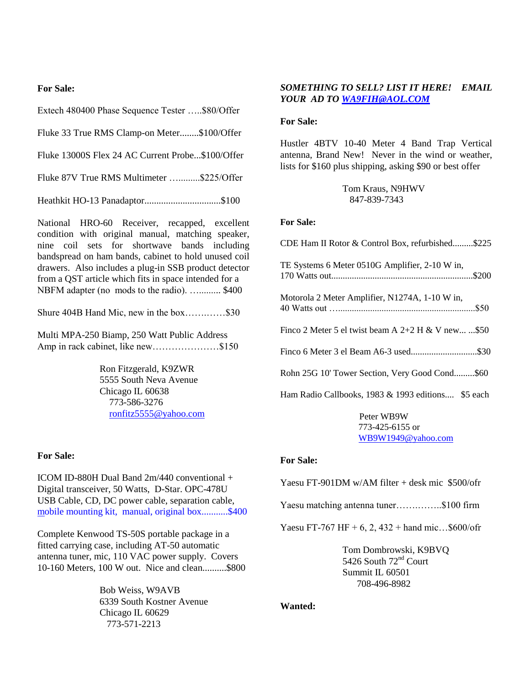#### **For Sale:**

Extech 480400 Phase Sequence Tester …..\$80/Offer

Fluke 33 True RMS Clamp-on Meter........\$100/Offer

Fluke 13000S Flex 24 AC Current Probe...\$100/Offer

Fluke 87V True RMS Multimeter ............\$225/Offer

Heathkit HO-13 Panadaptor................................\$100

National HRO-60 Receiver, recapped, excellent condition with original manual, matching speaker, nine coil sets for shortwave bands including bandspread on ham bands, cabinet to hold unused coil drawers. Also includes a plug-in SSB product detector from a QST article which fits in space intended for a NBFM adapter (no mods to the radio). …......... \$400

Shure 404B Hand Mic, new in the box…….……\$30

Multi MPA-250 Biamp, 250 Watt Public Address Amp in rack cabinet, like new…………………\$150

> Ron Fitzgerald, K9ZWR 5555 South Neva Avenue Chicago IL 60638 773-586-3276 [ronfitz5555@yahoo.com](mailto:ronfitz5555@yahoo.com)

#### **For Sale:**

ICOM ID-880H Dual Band 2m/440 conventional + Digital transceiver, 50 Watts, D-Star. OPC-478U USB Cable, CD, DC power cable, separation cable, mobile mounting kit, manual, original box...........\$400

Complete Kenwood TS-50S portable package in a fitted carrying case, including AT-50 automatic antenna tuner, mic, 110 VAC power supply. Covers 10-160 Meters, 100 W out. Nice and clean..........\$800

> Bob Weiss, W9AVB 6339 South Kostner Avenue Chicago IL 60629 773-571-2213

#### *SOMETHING TO SELL? LIST IT HERE! EMAIL YOUR AD T[O WA9FIH@AOL.COM](mailto:WA9FIH@AOL.COM)*

#### **For Sale:**

Hustler 4BTV 10-40 Meter 4 Band Trap Vertical antenna, Brand New! Never in the wind or weather, lists for \$160 plus shipping, asking \$90 or best offer

> Tom Kraus, N9HWV 847-839-7343

#### **For Sale:**

CDE Ham II Rotor & Control Box, refurbished.........\$225 TE Systems 6 Meter 0510G Amplifier, 2-10 W in, 170 Watts out..............................................................\$200 Motorola 2 Meter Amplifier, N1274A, 1-10 W in

| $M00000a \angle M000H$ Alliphitet, $N1274A$ , 1-10 W III, |  |
|-----------------------------------------------------------|--|
|                                                           |  |
|                                                           |  |

Finco 2 Meter 5 el twist beam A  $2+2$  H & V new... ...\$50

Finco 6 Meter 3 el Beam A6-3 used.............................\$30

Rohn 25G 10' Tower Section, Very Good Cond.........\$60

Ham Radio Callbooks, 1983 & 1993 editions.... \$5 each

 Peter WB9W 773-425-6155 or WB9W1949@yahoo.com

#### **For Sale:**

Yaesu FT-901DM w/AM filter + desk mic \$500/ofr

Yaesu matching antenna tuner…...........\$100 firm

Yaesu FT-767 HF + 6, 2, 432 + hand mic...\$600/ofr

Tom Dombrowski, K9BVQ 5426 South 72<sup>nd</sup> Court Summit IL 60501 708-496-8982

#### **Wanted:**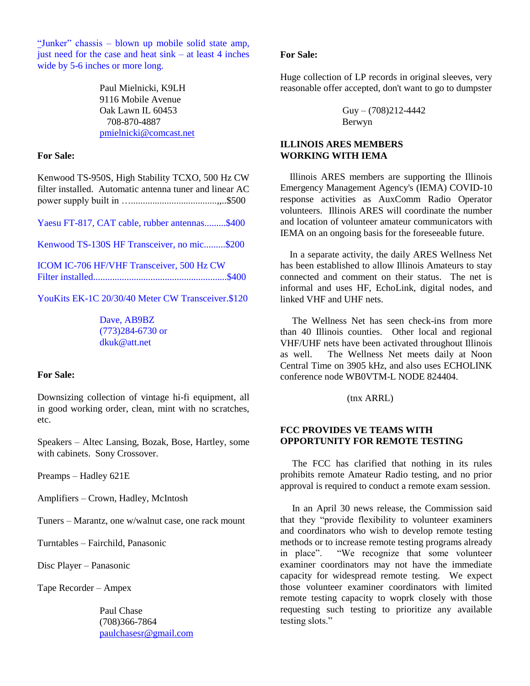"Junker" chassis – blown up mobile solid state amp, just need for the case and heat  $sink - at$  least 4 inches wide by 5-6 inches or more long.

> Paul Mielnicki, K9LH 9116 Mobile Avenue Oak Lawn IL 60453 708-870-4887 [pmielnicki@comcast.net](mailto:pmielnicki@comcast.net)

#### **For Sale:**

Kenwood TS-950S, High Stability TCXO, 500 Hz CW filter installed. Automatic antenna tuner and linear AC power supply built in …....................................,,..\$500

Yaesu FT-817, CAT cable, rubber antennas.........\$400

Kenwood TS-130S HF Transceiver, no mic.........\$200

ICOM IC-706 HF/VHF Transceiver, 500 Hz CW Filter installed........................................................\$400

YouKits EK-1C 20/30/40 Meter CW Transceiver.\$120

Dave, AB9BZ (773)284-6730 or dkuk@att.net

#### **For Sale:**

Downsizing collection of vintage hi-fi equipment, all in good working order, clean, mint with no scratches, etc.

Speakers – Altec Lansing, Bozak, Bose, Hartley, some with cabinets. Sony Crossover.

Preamps – Hadley 621E

Amplifiers – Crown, Hadley, McIntosh

Tuners – Marantz, one w/walnut case, one rack mount

Turntables – Fairchild, Panasonic

Disc Player – Panasonic

Tape Recorder – Ampex

Paul Chase (708)366-7864 [paulchasesr@gmail.com](mailto:paulchasesr@gmail.com)

#### **For Sale:**

Huge collection of LP records in original sleeves, very reasonable offer accepted, don't want to go to dumpster

> $Guy - (708)212 - 4442$ Berwyn

### **ILLINOIS ARES MEMBERS WORKING WITH IEMA**

 Illinois ARES members are supporting the Illinois Emergency Management Agency's (IEMA) COVID-10 response activities as AuxComm Radio Operator volunteers. Illinois ARES will coordinate the number and location of volunteer amateur communicators with IEMA on an ongoing basis for the foreseeable future.

 In a separate activity, the daily ARES Wellness Net has been established to allow Illinois Amateurs to stay connected and comment on their status. The net is informal and uses HF, EchoLink, digital nodes, and linked VHF and UHF nets.

 The Wellness Net has seen check-ins from more than 40 Illinois counties. Other local and regional VHF/UHF nets have been activated throughout Illinois as well. The Wellness Net meets daily at Noon Central Time on 3905 kHz, and also uses ECHOLINK conference node WB0VTM-L NODE 824404.

(tnx ARRL)

#### **FCC PROVIDES VE TEAMS WITH OPPORTUNITY FOR REMOTE TESTING**

 The FCC has clarified that nothing in its rules prohibits remote Amateur Radio testing, and no prior approval is required to conduct a remote exam session.

 In an April 30 news release, the Commission said that they "provide flexibility to volunteer examiners and coordinators who wish to develop remote testing methods or to increase remote testing programs already in place". "We recognize that some volunteer examiner coordinators may not have the immediate capacity for widespread remote testing. We expect those volunteer examiner coordinators with limited remote testing capacity to woprk closely with those requesting such testing to prioritize any available testing slots."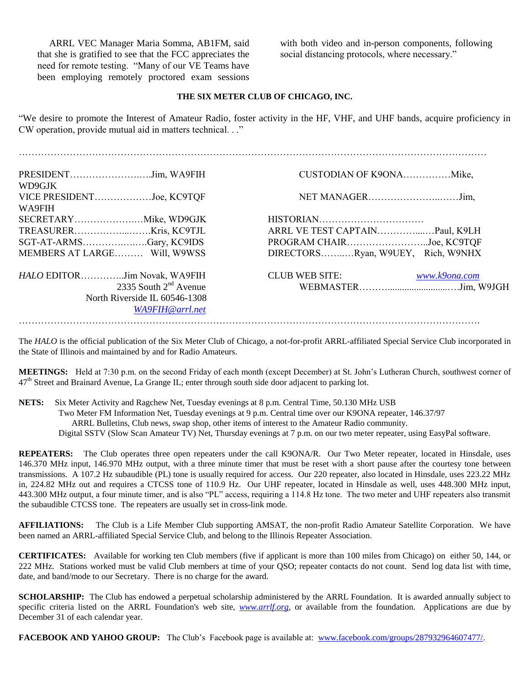ARRL VEC Manager Maria Somma, AB1FM, said that she is gratified to see that the FCC appreciates the need for remote testing. "Many of our VE Teams have been employing remotely proctored exam sessions

with both video and in-person components, following social distancing protocols, where necessary."

#### **THE SIX METER CLUB OF CHICAGO, INC.**

"We desire to promote the Interest of Amateur Radio, foster activity in the HF, VHF, and UHF bands, acquire proficiency in CW operation, provide mutual aid in matters technical. . ."

| WD9GJK<br>VICE PRESIDENTJoe, KC9TQF                     |                                                               |
|---------------------------------------------------------|---------------------------------------------------------------|
| WA9FIH                                                  |                                                               |
|                                                         | ARRL VE TEST CAPTAIN Paul, K9LH                               |
| SGT-AT-ARMSGary, KC9IDS<br>MEMBERS AT LARGE Will, W9WSS | PROGRAM CHAIRJoe, KC9TQF<br>DIRECTORSRyan, W9UEY, Rich, W9NHX |
|                                                         |                                                               |
| HALO EDITORJim Novak, WA9FIH<br>2335 South $2nd$ Avenue | <b>CLUB WEB SITE:</b><br>www.k9ona.com                        |
| North Riverside IL 60546-1308<br>WA9FIH@arrl.net        |                                                               |
|                                                         |                                                               |

The *HALO* is the official publication of the Six Meter Club of Chicago, a not-for-profit ARRL-affiliated Special Service Club incorporated in the State of Illinois and maintained by and for Radio Amateurs.

**MEETINGS:** Held at 7:30 p.m. on the second Friday of each month (except December) at St. John's Lutheran Church, southwest corner of  $47<sup>th</sup>$  Street and Brainard Avenue, La Grange IL; enter through south side door adjacent to parking lot.

**NETS:** Six Meter Activity and Ragchew Net, Tuesday evenings at 8 p.m. Central Time, 50.130 MHz USB

Two Meter FM Information Net, Tuesday evenings at 9 p.m. Central time over our K9ONA repeater, 146.37/97

ARRL Bulletins, Club news, swap shop, other items of interest to the Amateur Radio community.

Digital SSTV (Slow Scan Amateur TV) Net, Thursday evenings at 7 p.m. on our two meter repeater, using EasyPal software.

**REPEATERS:** The Club operates three open repeaters under the call K9ONA/R. Our Two Meter repeater, located in Hinsdale, uses 146.370 MHz input, 146.970 MHz output, with a three minute timer that must be reset with a short pause after the courtesy tone between transmissions. A 107.2 Hz subaudible (PL) tone is usually required for access. Our 220 repeater, also located in Hinsdale, uses 223.22 MHz in, 224.82 MHz out and requires a CTCSS tone of 110.9 Hz. Our UHF repeater, located in Hinsdale as well, uses 448.300 MHz input, 443.300 MHz output, a four minute timer, and is also "PL" access, requiring a 114.8 Hz tone. The two meter and UHF repeaters also transmit the subaudible CTCSS tone. The repeaters are usually set in cross-link mode.

**AFFILIATIONS:** The Club is a Life Member Club supporting AMSAT, the non-profit Radio Amateur Satellite Corporation. We have been named an ARRL-affiliated Special Service Club, and belong to the Illinois Repeater Association.

**CERTIFICATES:** Available for working ten Club members (five if applicant is more than 100 miles from Chicago) on either 50, 144, or 222 MHz. Stations worked must be valid Club members at time of your QSO; repeater contacts do not count. Send log data list with time, date, and band/mode to our Secretary. There is no charge for the award.

**SCHOLARSHIP:** The Club has endowed a perpetual scholarship administered by the ARRL Foundation. It is awarded annually subject to specific criteria listed on the ARRL Foundation's web site, *www.arrlf.org*, or available from the foundation. Applications are due by December 31 of each calendar year.

**FACEBOOK AND YAHOO GROUP:** The Club's Facebook page is available at: www.facebook.com/groups/287932964607477/.